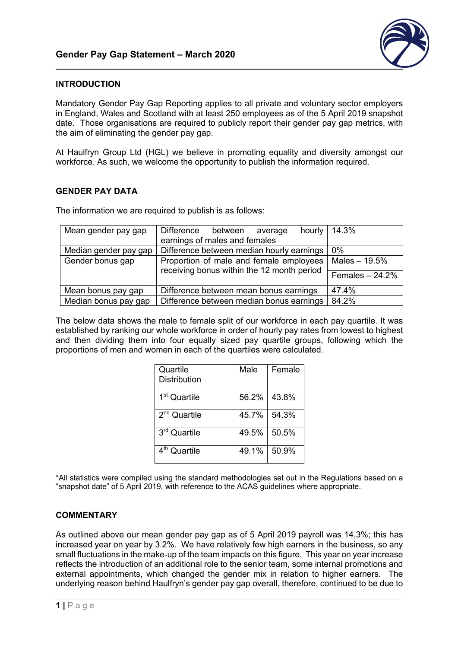

## **INTRODUCTION**

Mandatory Gender Pay Gap Reporting applies to all private and voluntary sector employers in England, Wales and Scotland with at least 250 employees as of the 5 April 2019 snapshot date. Those organisations are required to publicly report their gender pay gap metrics, with the aim of eliminating the gender pay gap.

At Haulfryn Group Ltd (HGL) we believe in promoting equality and diversity amongst our workforce. As such, we welcome the opportunity to publish the information required.

## **GENDER PAY DATA**

The information we are required to publish is as follows:

| Mean gender pay gap   | Difference between<br>average                                                         | hourly   $14.3\%$ |
|-----------------------|---------------------------------------------------------------------------------------|-------------------|
|                       | earnings of males and females                                                         |                   |
| Median gender pay gap | Difference between median hourly earnings                                             | 0%                |
| Gender bonus gap      | Proportion of male and female employees<br>receiving bonus within the 12 month period | Males $-19.5%$    |
|                       |                                                                                       | Females $-24.2%$  |
| Mean bonus pay gap    | Difference between mean bonus earnings                                                | 47.4%             |
| Median bonus pay gap  | Difference between median bonus earnings                                              | 84.2%             |

The below data shows the male to female split of our workforce in each pay quartile. It was established by ranking our whole workforce in order of hourly pay rates from lowest to highest and then dividing them into four equally sized pay quartile groups, following which the proportions of men and women in each of the quartiles were calculated.

| Quartile<br>Distribution | Male  | Female |
|--------------------------|-------|--------|
| 1 <sup>st</sup> Quartile | 56.2% | 43.8%  |
| 2 <sup>nd</sup> Quartile | 45.7% | 54.3%  |
| 3rd Quartile             | 49.5% | 50.5%  |
| Quartile                 | 49.1% | 50.9%  |

\*All statistics were compiled using the standard methodologies set out in the Regulations based on a "snapshot date" of 5 April 2019, with reference to the ACAS guidelines where appropriate.

## **COMMENTARY**

As outlined above our mean gender pay gap as of 5 April 2019 payroll was 14.3%; this has increased year on year by 3.2%. We have relatively few high earners in the business, so any small fluctuations in the make-up of the team impacts on this figure. This year on year increase reflects the introduction of an additional role to the senior team, some internal promotions and external appointments, which changed the gender mix in relation to higher earners. The underlying reason behind Haulfryn's gender pay gap overall, therefore, continued to be due to